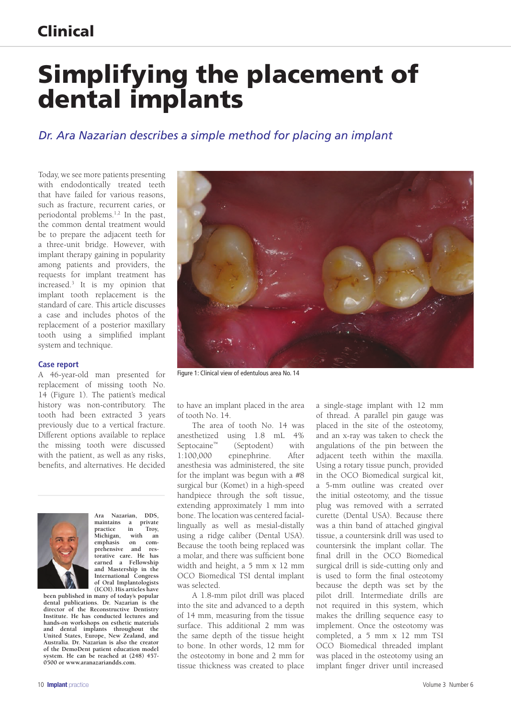### Clinical

# Simplifying the placement of dental implants

### *Dr. Ara Nazarian describes a simple method for placing an implant*

Today, we see more patients presenting with endodontically treated teeth that have failed for various reasons, such as fracture, recurrent caries, or periodontal problems.1,2 In the past, the common dental treatment would be to prepare the adjacent teeth for a three-unit bridge. However, with implant therapy gaining in popularity among patients and providers, the requests for implant treatment has increased.3 It is my opinion that implant tooth replacement is the standard of care. This article discusses a case and includes photos of the replacement of a posterior maxillary tooth using a simplified implant system and technique.

#### **Case report**

A 46-year-old man presented for replacement of missing tooth No. 14 (Figure 1). The patient's medical history was non-contributory. The tooth had been extracted 3 years previously due to a vertical fracture. Different options available to replace the missing tooth were discussed with the patient, as well as any risks, benefits, and alternatives. He decided



**Ara Nazarian, DDS,**  a private<br>in Troy, practice in Troy,<br>Michigan, with an Michigan,<br>emphasis **emphasis on comprehensive and restorative care. He has earned a Fellowship and Mastership in the International Congress of Oral Implantologists (ICOI). His articles have** 

**been published in many of today's popular dental publications. Dr. Nazarian is the director of the Reconstructive Dentistry Institute. He has conducted lectures and hands-on workshops on esthetic materials and dental implants throughout the United States, Europe, New Zealand, and Australia. Dr. Nazarian is also the creator of the DemoDent patient education model system. He can be reached at (248) 457- 0500 or www.aranazariandds.com.**



Figure 1: Clinical view of edentulous area No. 14

to have an implant placed in the area of tooth No. 14.

The area of tooth No. 14 was anesthetized using 1.8 mL 4% Septocaine™ (Septodent) with 1:100,000 epinephrine. After anesthesia was administered, the site for the implant was begun with a #8 surgical bur (Komet) in a high-speed handpiece through the soft tissue, extending approximately 1 mm into bone. The location was centered faciallingually as well as mesial-distally using a ridge caliber (Dental USA). Because the tooth being replaced was a molar, and there was sufficient bone width and height, a 5 mm x 12 mm OCO Biomedical TSI dental implant was selected.

A 1.8-mm pilot drill was placed into the site and advanced to a depth of 14 mm, measuring from the tissue surface. This additional 2 mm was the same depth of the tissue height to bone. In other words, 12 mm for the osteotomy in bone and 2 mm for tissue thickness was created to place

a single-stage implant with 12 mm of thread. A parallel pin gauge was placed in the site of the osteotomy, and an x-ray was taken to check the angulations of the pin between the adjacent teeth within the maxilla. Using a rotary tissue punch, provided in the OCO Biomedical surgical kit, a 5-mm outline was created over the initial osteotomy, and the tissue plug was removed with a serrated curette (Dental USA). Because there was a thin band of attached gingival tissue, a countersink drill was used to countersink the implant collar. The final drill in the OCO Biomedical surgical drill is side-cutting only and is used to form the final osteotomy because the depth was set by the pilot drill. Intermediate drills are not required in this system, which makes the drilling sequence easy to implement. Once the osteotomy was completed, a 5 mm x 12 mm TSI OCO Biomedical threaded implant was placed in the osteotomy using an implant finger driver until increased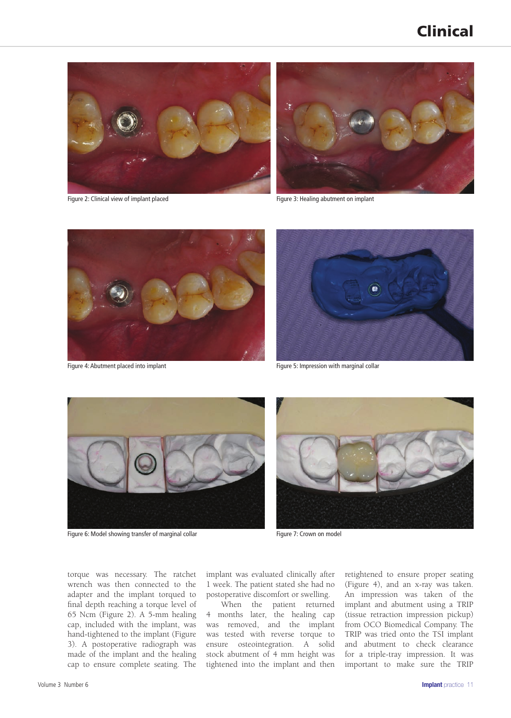### Clinical



Figure 2: Clinical view of implant placed



Figure 3: Healing abutment on implant





Figure 4: Abutment placed into implant Figure 5: Impression with marginal collar



Figure 6: Model showing transfer of marginal collar Figure 7: Crown on model



torque was necessary. The ratchet wrench was then connected to the adapter and the implant torqued to final depth reaching a torque level of 65 Ncm (Figure 2). A 5-mm healing cap, included with the implant, was hand-tightened to the implant (Figure 3). A postoperative radiograph was made of the implant and the healing cap to ensure complete seating. The

implant was evaluated clinically after 1 week. The patient stated she had no postoperative discomfort or swelling.

When the patient returned 4 months later, the healing cap was removed, and the implant was tested with reverse torque to ensure osteointegration. A solid stock abutment of 4 mm height was tightened into the implant and then

retightened to ensure proper seating (Figure 4), and an x-ray was taken. An impression was taken of the implant and abutment using a TRIP (tissue retraction impression pickup) from OCO Biomedical Company. The TRIP was tried onto the TSI implant and abutment to check clearance for a triple-tray impression. It was important to make sure the TRIP